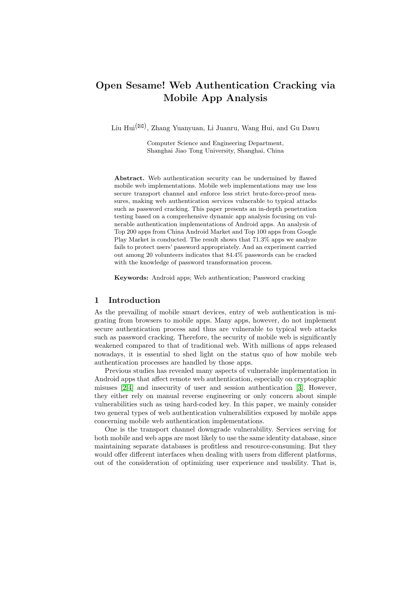# Open Sesame! Web Authentication Cracking via Mobile App Analysis

Liu Hui(B) , Zhang Yuanyuan, Li Juanru, Wang Hui, and Gu Dawu

Computer Science and Engineering Department, Shanghai Jiao Tong University, Shanghai, China

Abstract. Web authentication security can be undermined by flawed mobile web implementations. Mobile web implementations may use less secure transport channel and enforce less strict brute-force-proof measures, making web authentication services vulnerable to typical attacks such as password cracking. This paper presents an in-depth penetration testing based on a comprehensive dynamic app analysis focusing on vulnerable authentication implementations of Android apps. An analysis of Top 200 apps from China Android Market and Top 100 apps from Google Play Market is conducted. The result shows that 71.3% apps we analyze fails to protect users' password appropriately. And an experiment carried out among 20 volunteers indicates that 84.4% passwords can be cracked with the knowledge of password transformation process.

Keywords: Android apps; Web authentication; Password cracking

### 1 Introduction

As the prevailing of mobile smart devices, entry of web authentication is migrating from browsers to mobile apps. Many apps, however, do not implement secure authentication process and thus are vulnerable to typical web attacks such as password cracking. Therefore, the security of mobile web is significantly weakened compared to that of traditional web. With millions of apps released nowadays, it is essential to shed light on the status quo of how mobile web authentication processes are handled by those apps.

Previous studies has revealed many aspects of vulnerable implementation in Android apps that affect remote web authentication, especially on cryptographic misuses [\[2](#page-3-0)[,4\]](#page-3-1) and insecurity of user and session authentication [\[3\]](#page-3-2). However, they either rely on manual reverse engineering or only concern about simple vulnerabilities such as using hard-coded key. In this paper, we mainly consider two general types of web authentication vulnerabilities exposed by mobile apps concerning mobile web authentication implementations.

One is the transport channel downgrade vulnerability. Services serving for both mobile and web apps are most likely to use the same identity database, since maintaining separate databases is profitless and resource-consuming. But they would offer different interfaces when dealing with users from different platforms, out of the consideration of optimizing user experience and usability. That is,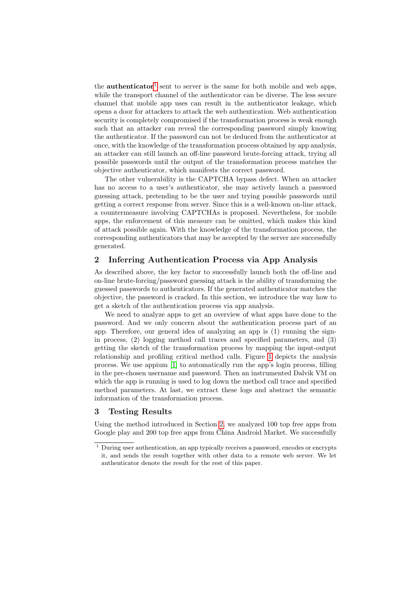the **authenticator**<sup>[1](#page-1-0)</sup> sent to server is the same for both mobile and web apps, while the transport channel of the authenticator can be diverse. The less secure channel that mobile app uses can result in the authenticator leakage, which opens a door for attackers to attack the web authentication. Web authentication security is completely compromised if the transformation process is weak enough such that an attacker can reveal the corresponding password simply knowing the authenticator. If the password can not be deduced from the authenticator at once, with the knowledge of the transformation process obtained by app analysis, an attacker can still launch an off-line password brute-forcing attack, trying all possible passwords until the output of the transformation process matches the objective authenticator, which manifests the correct password.

The other vulnerability is the CAPTCHA bypass defect. When an attacker has no access to a user's authenticator, she may actively launch a password guessing attack, pretending to be the user and trying possible passwords until getting a correct response from server. Since this is a well-known on-line attack, a countermeasure involving CAPTCHAs is proposed. Nevertheless, for mobile apps, the enforcement of this measure can be omitted, which makes this kind of attack possible again. With the knowledge of the transformation process, the corresponding authenticators that may be accepted by the server are successfully generated.

# <span id="page-1-1"></span>2 Inferring Authentication Process via App Analysis

As described above, the key factor to successfully launch both the off-line and on-line brute-forcing/password guessing attack is the ability of transforming the guessed passwords to authenticators. If the generated authenticator matches the objective, the password is cracked. In this section, we introduce the way how to get a sketch of the authentication process via app analysis.

We need to analyze apps to get an overview of what apps have done to the password. And we only concern about the authentication process part of an app. Therefore, our general idea of analyzing an app is (1) running the signin process, (2) logging method call traces and specified parameters, and (3) getting the sketch of the transformation process by mapping the input-output relationship and profiling critical method calls. Figure [1](#page-2-0) depicts the analysis process. We use appium [\[1\]](#page-3-3) to automatically run the app's login process, filling in the pre-chosen username and password. Then an instrumented Dalvik VM on which the app is running is used to log down the method call trace and specified method parameters. At last, we extract these logs and abstract the semantic information of the transformation process.

## 3 Testing Results

Using the method introduced in Section [2,](#page-1-1) we analyzed 100 top free apps from Google play and 200 top free apps from China Android Market. We successfully

<span id="page-1-0"></span> $1$  During user authentication, an app typically receives a password, encodes or encrypts it, and sends the result together with other data to a remote web server. We let authenticator denote the result for the rest of this paper.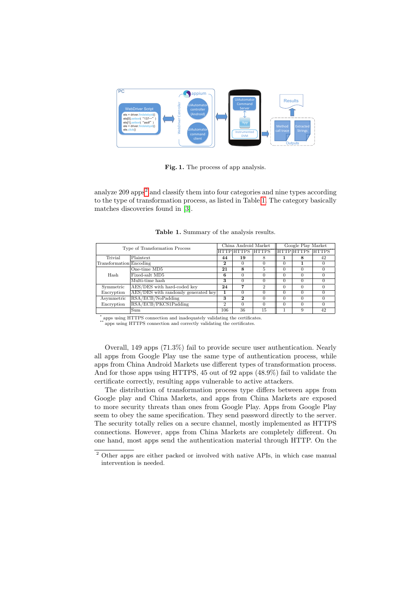

<span id="page-2-0"></span>Fig. 1. The process of app analysis.

analyze  $209$  $209$  apps<sup>2</sup> and classify them into four categories and nine types according to the type of transformation process, as listed in Table [1.](#page-2-2) The category basically matches discoveries found in [\[3\]](#page-3-2).

<span id="page-2-2"></span>Table 1. Summary of the analysis results.

| Type of Transformation Process |                                     | China Android Market |              |                                         | Google Play Market |          |    |
|--------------------------------|-------------------------------------|----------------------|--------------|-----------------------------------------|--------------------|----------|----|
|                                |                                     |                      |              | HTTP HTTPS* HTTPS** HTTP HTTPS* HTTPS** |                    |          |    |
| Trivial                        | Plaintext                           | 44                   | 19           | 8                                       |                    | 8        | 42 |
| Transformation Encoding        |                                     | $\mathbf{2}$         | 0            | $\Omega$                                | 0                  |          |    |
| Hash                           | One-time MD5                        | 21                   | 8            | 5                                       | $\Omega$           | 0        |    |
|                                | Fixed-salt MD5                      | 6                    | $\Omega$     |                                         | 0                  |          |    |
|                                | Multi-time hash                     | 3                    | $\Omega$     | $\Omega$                                | 0                  | $\Omega$ |    |
| Symmetric                      | AES/DES with hard-coded key         | 24                   | 7            | 2                                       | 0                  | $\Omega$ |    |
| Encryption                     | AES/DES with randomly generated key |                      | $\Omega$     | $\Omega$                                | $\Omega$           | $\Omega$ |    |
| Asymmetric                     | RSA/ECB/NoPadding                   | 3                    | $\mathbf{2}$ | $\Omega$                                | $\Omega$           | $\Omega$ |    |
| Encryption                     | RSA/ECB/PKCS1Padding                | $\overline{2}$       | $\Omega$     | $\Omega$                                | $\Omega$           | $\Omega$ |    |
|                                | Sum                                 | 106                  | 36           | 15                                      |                    | 9        | 42 |

\* apps using HTTPS connection and inadequately validating the certificates.

 $*$  apps using HTTPS connection and correctly validating the certificates.  $\!$ 

Overall, 149 apps (71.3%) fail to provide secure user authentication. Nearly all apps from Google Play use the same type of authentication process, while apps from China Android Markets use different types of transformation process. And for those apps using HTTPS, 45 out of 92 apps (48.9%) fail to validate the certificate correctly, resulting apps vulnerable to active attackers.

The distribution of transformation process type differs between apps from Google play and China Markets, and apps from China Markets are exposed to more security threats than ones from Google Play. Apps from Google Play seem to obey the same specification. They send password directly to the server. The security totally relies on a secure channel, mostly implemented as HTTPS connections. However, apps from China Markets are completely different. On one hand, most apps send the authentication material through HTTP. On the

<span id="page-2-1"></span><sup>2</sup> Other apps are either packed or involved with native APIs, in which case manual intervention is needed.